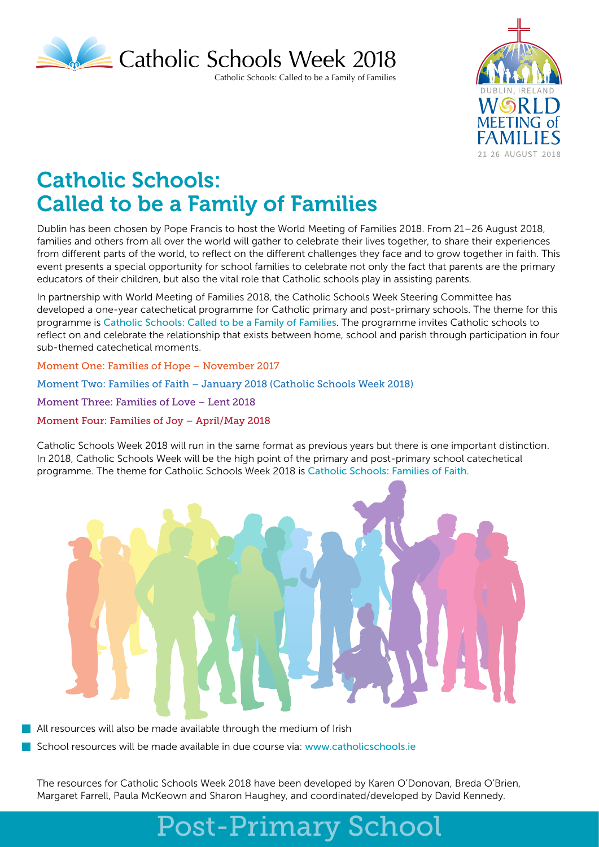

Catholic Schools: Called to be a Family of Families



# Catholic Schools: Called to be a Family of Families

Dublin has been chosen by Pope Francis to host the World Meeting of Families 2018. From 21–26 August 2018, families and others from all over the world will gather to celebrate their lives together, to share their experiences from different parts of the world, to reflect on the different challenges they face and to grow together in faith. This event presents a special opportunity for school families to celebrate not only the fact that parents are the primary educators of their children, but also the vital role that Catholic schools play in assisting parents.

In partnership with World Meeting of Families 2018, the Catholic Schools Week Steering Committee has developed a one-year catechetical programme for Catholic primary and post-primary schools. The theme for this programme is Catholic Schools: Called to be a Family of Families. The programme invites Catholic schools to reflect on and celebrate the relationship that exists between home, school and parish through participation in four sub-themed catechetical moments.

Moment One: Families of Hope – November 2017

Moment Two: Families of Faith – January 2018 (Catholic Schools Week 2018)

Moment Three: Families of Love – Lent 2018

Moment Four: Families of Joy – April/May 2018

Catholic Schools Week 2018 will run in the same format as previous years but there is one important distinction. In 2018, Catholic Schools Week will be the high point of the primary and post-primary school catechetical programme. The theme for Catholic Schools Week 2018 is Catholic Schools: Families of Faith.



All resources will also be made available through the medium of Irish

School resources will be made available in due course via: www.catholicschools.ie

The resources for Catholic Schools Week 2018 have been developed by Karen O'Donovan, Breda O'Brien, Margaret Farrell, Paula McKeown and Sharon Haughey, and coordinated/developed by David Kennedy.

# Post-Primary School